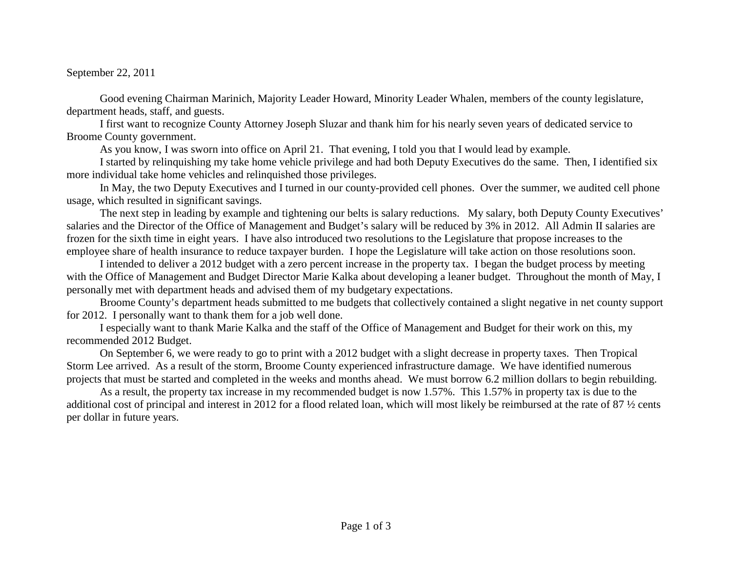## September 22, 2011

Good evening Chairman Marinich, Majority Leader Howard, Minority Leader Whalen, members of the county legislature, department heads, staff, and guests.

 I first want to recognize County Attorney Joseph Sluzar and thank him for his nearly seven years of dedicated service to Broome County government.

As you know, I was sworn into office on April 21. That evening, I told you that I would lead by example.

 I started by relinquishing my take home vehicle privilege and had both Deputy Executives do the same. Then, I identified six more individual take home vehicles and relinquished those privileges.

 In May, the two Deputy Executives and I turned in our county-provided cell phones. Over the summer, we audited cell phone usage, which resulted in significant savings.

 The next step in leading by example and tightening our belts is salary reductions. My salary, both Deputy County Executives' salaries and the Director of the Office of Management and Budget's salary will be reduced by 3% in 2012. All Admin II salaries are frozen for the sixth time in eight years. I have also introduced two resolutions to the Legislature that propose increases to the employee share of health insurance to reduce taxpayer burden. I hope the Legislature will take action on those resolutions soon.

 I intended to deliver a 2012 budget with a zero percent increase in the property tax. I began the budget process by meeting with the Office of Management and Budget Director Marie Kalka about developing a leaner budget. Throughout the month of May, I personally met with department heads and advised them of my budgetary expectations.

 Broome County's department heads submitted to me budgets that collectively contained a slight negative in net county support for 2012. I personally want to thank them for a job well done.

 I especially want to thank Marie Kalka and the staff of the Office of Management and Budget for their work on this, my recommended 2012 Budget.

On September 6, we were ready to go to print with a 2012 budget with a slight decrease in property taxes. Then Tropical Storm Lee arrived. As a result of the storm, Broome County experienced infrastructure damage. We have identified numerous projects that must be started and completed in the weeks and months ahead. We must borrow 6.2 million dollars to begin rebuilding.

As a result, the property tax increase in my recommended budget is now 1.57%. This 1.57% in property tax is due to the additional cost of principal and interest in 2012 for a flood related loan, which will most likely be reimbursed at the rate of 87  $\frac{1}{2}$  cents per dollar in future years.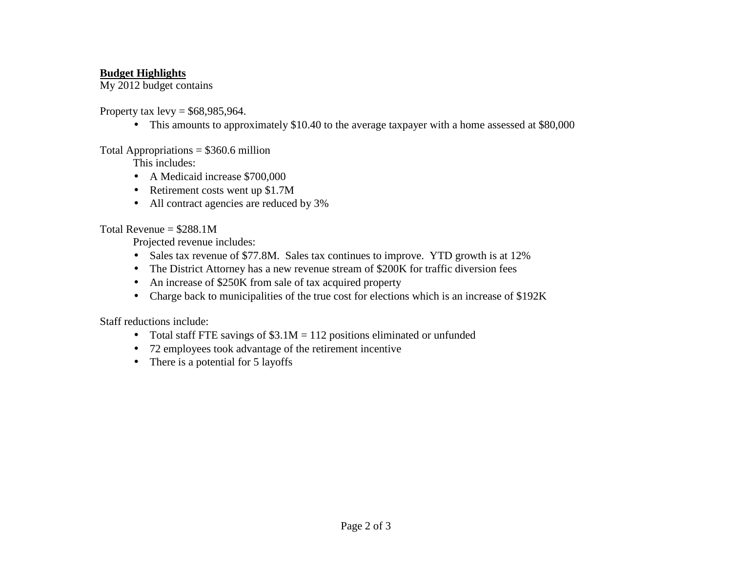## **Budget Highlights**

My 2012 budget contains

Property tax  $levy = $68,985,964$ .

• This amounts to approximately \$10.40 to the average taxpayer with a home assessed at \$80,000

Total Appropriations = \$360.6 million

This includes:

- A Medicaid increase \$700,000
- Retirement costs went up \$1.7M
- All contract agencies are reduced by 3%

Total Revenue  $= $288.1M$ 

Projected revenue includes:

- Sales tax revenue of \$77.8M. Sales tax continues to improve. YTD growth is at 12%
- The District Attorney has a new revenue stream of \$200K for traffic diversion fees
- An increase of \$250K from sale of tax acquired property
- Charge back to municipalities of the true cost for elections which is an increase of \$192K

Staff reductions include:

- $\bullet$ Total staff FTE savings of  $$3.1M = 112$  positions eliminated or unfunded
- 72 employees took advantage of the retirement incentive
- There is a potential for 5 layoffs